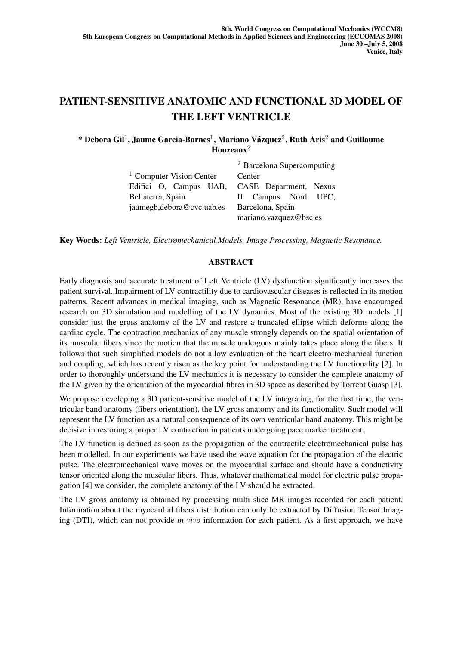## PATIENT-SENSITIVE ANATOMIC AND FUNCTIONAL 3D MODEL OF THE LEFT VENTRICLE

\* Debora Gil<sup>1</sup>, Jaume Garcia-Barnes<sup>1</sup>, Mariano Vázquez<sup>2</sup>, Ruth Aris<sup>2</sup> and Guillaume Houzeaux<sup>2</sup>

|                                               | <sup>2</sup> Barcelona Supercomputing |
|-----------------------------------------------|---------------------------------------|
| $1$ Computer Vision Center                    | Center                                |
| Edifici O, Campus UAB, CASE Department, Nexus |                                       |
| Bellaterra, Spain                             | II Campus Nord UPC,                   |
| jaumegb, debora@cvc.uab.es                    | Barcelona, Spain                      |
|                                               | mariano.vazquez@bsc.es                |

Key Words: *Left Ventricle, Electromechanical Models, Image Processing, Magnetic Resonance.*

## ABSTRACT

Early diagnosis and accurate treatment of Left Ventricle (LV) dysfunction significantly increases the patient survival. Impairment of LV contractility due to cardiovascular diseases is reflected in its motion patterns. Recent advances in medical imaging, such as Magnetic Resonance (MR), have encouraged research on 3D simulation and modelling of the LV dynamics. Most of the existing 3D models [1] consider just the gross anatomy of the LV and restore a truncated ellipse which deforms along the cardiac cycle. The contraction mechanics of any muscle strongly depends on the spatial orientation of its muscular fibers since the motion that the muscle undergoes mainly takes place along the fibers. It follows that such simplified models do not allow evaluation of the heart electro-mechanical function and coupling, which has recently risen as the key point for understanding the LV functionality [2]. In order to thoroughly understand the LV mechanics it is necessary to consider the complete anatomy of the LV given by the orientation of the myocardial fibres in 3D space as described by Torrent Guasp [3].

We propose developing a 3D patient-sensitive model of the LV integrating, for the first time, the ventricular band anatomy (fibers orientation), the LV gross anatomy and its functionality. Such model will represent the LV function as a natural consequence of its own ventricular band anatomy. This might be decisive in restoring a proper LV contraction in patients undergoing pace marker treatment.

The LV function is defined as soon as the propagation of the contractile electromechanical pulse has been modelled. In our experiments we have used the wave equation for the propagation of the electric pulse. The electromechanical wave moves on the myocardial surface and should have a conductivity tensor oriented along the muscular fibers. Thus, whatever mathematical model for electric pulse propagation [4] we consider, the complete anatomy of the LV should be extracted.

The LV gross anatomy is obtained by processing multi slice MR images recorded for each patient. Information about the myocardial fibers distribution can only be extracted by Diffusion Tensor Imaging (DTI), which can not provide *in vivo* information for each patient. As a first approach, we have